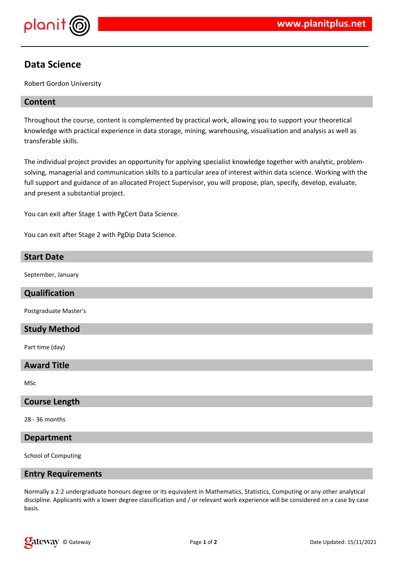

# **Data Science**

Robert Gordon University

### **Content**

Throughout the course, content is complemented by practical work, allowing you to support your theoretical knowledge with practical experience in data storage, mining, warehousing, visualisation and analysis as well as transferable skills.

The individual project provides an opportunity for applying specialist knowledge together with analytic, problemsolving, managerial and communication skills to a particular area of interest within data science. Working with the full support and guidance of an allocated Project Supervisor, you will propose, plan, specify, develop, evaluate, and present a substantial project.

You can exit after Stage 1 with PgCert Data Science.

You can exit after Stage 2 with PgDip Data Science.

## **Start Date**

September, January

#### **Qualification**

Postgraduate Master's

#### **Study Method**

Part time (day)

#### **Award Title**

MSc

#### **Course Length**

28 - 36 months

#### **Department**

School of Computing

#### **Entry Requirements**

Normally a 2:2 undergraduate honours degree or its equivalent in Mathematics, Statistics, Computing or any other analytical discipline. Applicants with a lower degree classification and / or relevant work experience will be considered on a case by case basis.